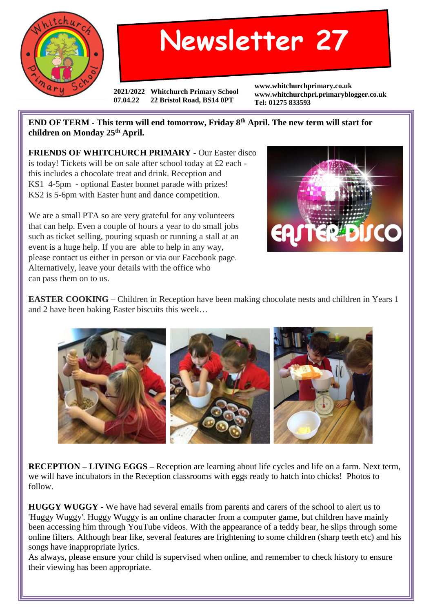

## **Newsletter 27**

**2021/2022 Whitchurch Primary School 07.04.22 22 Bristol Road, BS14 0PT**

**www.whitchurchprimary.co.uk www.whitchurchpri.primaryblogger.co.uk Tel: 01275 833593**

**END OF TERM - This term will end tomorrow, Friday 8th April. The new term will start for children on Monday 25th April.**

**FRIENDS OF WHITCHURCH PRIMARY** - Our Easter disco is today! Tickets will be on sale after school today at £2 each this includes a chocolate treat and drink. Reception and KS1 4-5pm - optional Easter bonnet parade with prizes! KS2 is 5-6pm with Easter hunt and dance competition.

We are a small PTA so are very grateful for any volunteers that can help. Even a couple of hours a year to do small jobs such as ticket selling, pouring squash or running a stall at an event is a huge help. If you are able to help in any way, please contact us either in person or via our Facebook page. Alternatively, leave your details with the office who can pass them on to us.



**EASTER COOKING** – Children in Reception have been making chocolate nests and children in Years 1 and 2 have been baking Easter biscuits this week…



**RECEPTION – LIVING EGGS –** Reception are learning about life cycles and life on a farm. Next term, we will have incubators in the Reception classrooms with eggs ready to hatch into chicks! Photos to follow.

**HUGGY WUGGY -** We have had several emails from parents and carers of the school to alert us to 'Huggy Wuggy'. Huggy Wuggy is an online character from a computer game, but children have mainly been accessing him through YouTube videos. With the appearance of a teddy bear, he slips through some online filters. Although bear like, several features are frightening to some children (sharp teeth etc) and his songs have inappropriate lyrics.

As always, please ensure your child is supervised when online, and remember to check history to ensure their viewing has been appropriate.